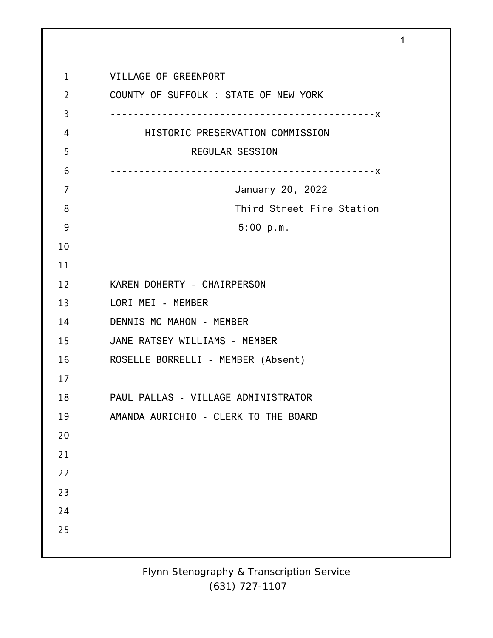| $\mathbf{1}$   | VILLAGE OF GREENPORT                  |
|----------------|---------------------------------------|
| $\overline{2}$ | COUNTY OF SUFFOLK : STATE OF NEW YORK |
| 3              |                                       |
| 4              | HISTORIC PRESERVATION COMMISSION      |
| 5              | <b>REGULAR SESSION</b>                |
| 6              |                                       |
| 7              | January 20, 2022                      |
| 8              | Third Street Fire Station             |
| 9              | 5:00 p.m.                             |
| 10             |                                       |
| 11             |                                       |
| 12             | KAREN DOHERTY - CHAIRPERSON           |
| 13             | LORI MEI - MEMBER                     |
| 14             | DENNIS MC MAHON - MEMBER              |
| 15             | JANE RATSEY WILLIAMS - MEMBER         |
| 16             | ROSELLE BORRELLI - MEMBER (Absent)    |
| 17             |                                       |
| 18             | PAUL PALLAS - VILLAGE ADMINISTRATOR   |
| 19             | AMANDA AURICHIO - CLERK TO THE BOARD  |
| 20             |                                       |
| 21             |                                       |
| 22             |                                       |
| 23             |                                       |
| 24             |                                       |
| 25             |                                       |
|                |                                       |

1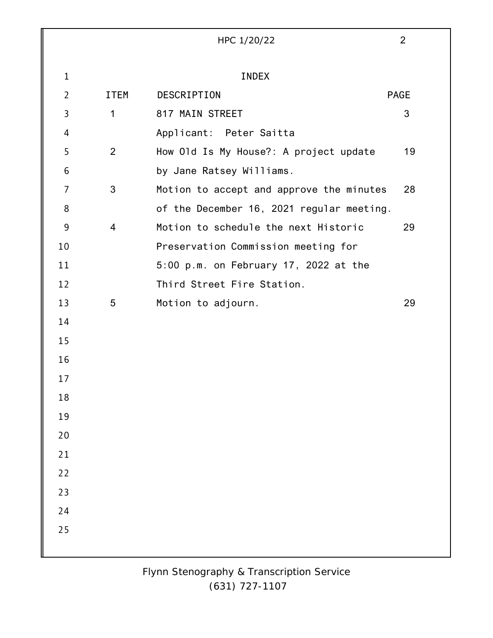|                |                | HPC 1/20/22                               | $\overline{2}$ |
|----------------|----------------|-------------------------------------------|----------------|
|                |                |                                           |                |
| $\mathbf{1}$   |                | <b>INDEX</b>                              |                |
| $\overline{2}$ | <b>ITEM</b>    | DESCRIPTION                               | <b>PAGE</b>    |
| 3              | $\mathbf 1$    | 817 MAIN STREET                           | 3              |
| 4              |                | Applicant: Peter Saitta                   |                |
| 5              | 2              | How Old Is My House?: A project update    | 19             |
| 6              |                | by Jane Ratsey Williams.                  |                |
| $\overline{7}$ | 3              | Motion to accept and approve the minutes  | 28             |
| 8              |                | of the December 16, 2021 regular meeting. |                |
| 9              | $\overline{4}$ | Motion to schedule the next Historic      | 29             |
| 10             |                | Preservation Commission meeting for       |                |
| 11             |                | 5:00 p.m. on February 17, 2022 at the     |                |
| 12             |                | Third Street Fire Station.                |                |
| 13             | 5              | Motion to adjourn.                        | 29             |
| 14             |                |                                           |                |
| 15             |                |                                           |                |
| 16             |                |                                           |                |
| 17             |                |                                           |                |
| 18             |                |                                           |                |
| 19             |                |                                           |                |
| 20             |                |                                           |                |
| 21             |                |                                           |                |
| 22             |                |                                           |                |
| 23             |                |                                           |                |
| 24             |                |                                           |                |
| 25             |                |                                           |                |
|                |                |                                           |                |
|                |                |                                           |                |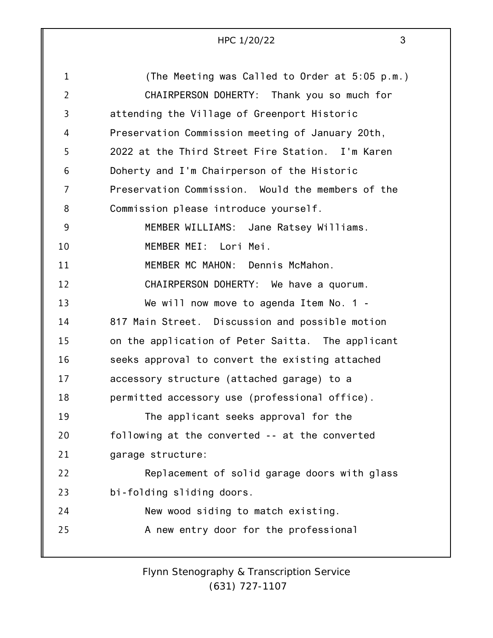| HPC 1/20/22 |  |
|-------------|--|
|             |  |

| $\mathbf{1}$   | (The Meeting was Called to Order at 5:05 p.m.)    |
|----------------|---------------------------------------------------|
| $\overline{2}$ | CHAIRPERSON DOHERTY: Thank you so much for        |
| 3              | attending the Village of Greenport Historic       |
| 4              | Preservation Commission meeting of January 20th,  |
| 5              | 2022 at the Third Street Fire Station. I'm Karen  |
| 6              | Doherty and I'm Chairperson of the Historic       |
| 7              | Preservation Commission. Would the members of the |
| 8              | Commission please introduce yourself.             |
| 9              | MEMBER WILLIAMS: Jane Ratsey Williams.            |
| 10             | MEMBER MEI: Lori Mei.                             |
| 11             | MEMBER MC MAHON: Dennis McMahon.                  |
| 12             | CHAIRPERSON DOHERTY: We have a quorum.            |
| 13             | We will now move to agenda Item No. 1 -           |
| 14             | 817 Main Street. Discussion and possible motion   |
| 15             | on the application of Peter Saitta. The applicant |
| 16             | seeks approval to convert the existing attached   |
| 17             | accessory structure (attached garage) to a        |
| 18             | permitted accessory use (professional office).    |
| 19             | The applicant seeks approval for the              |
| 20             | following at the converted -- at the converted    |
| 21             | garage structure:                                 |
| 22             | Replacement of solid garage doors with glass      |
| 23             | bi-folding sliding doors.                         |
| 24             | New wood siding to match existing.                |
| 25             | A new entry door for the professional             |
|                |                                                   |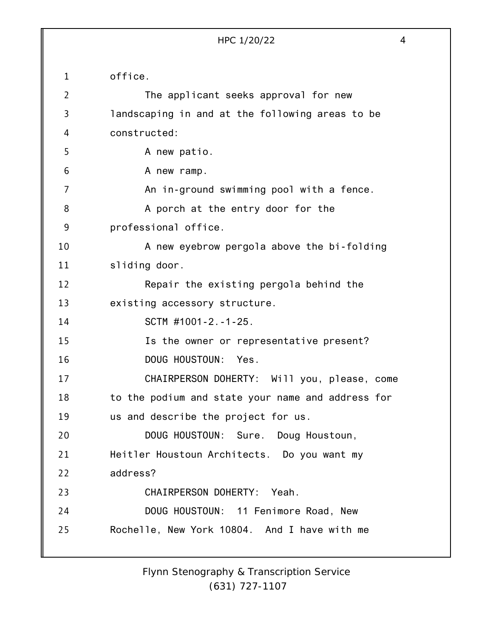1 2 3 4 5 6 7 8 9 10 11 12 13 14 15 16 17 18 19 20 21 22 23 24 25 HPC 1/20/22 4 office. The applicant seeks approval for new landscaping in and at the following areas to be constructed: A new patio. A new ramp. An in-ground swimming pool with a fence. A porch at the entry door for the professional office. A new eyebrow pergola above the bi-folding sliding door. Repair the existing pergola behind the existing accessory structure. SCTM #1001-2.-1-25. Is the owner or representative present? DOUG HOUSTOUN: Yes. CHAIRPERSON DOHERTY: Will you, please, come to the podium and state your name and address for us and describe the project for us. DOUG HOUSTOUN: Sure. Doug Houstoun, Heitler Houstoun Architects. Do you want my address? CHAIRPERSON DOHERTY: Yeah. DOUG HOUSTOUN: 11 Fenimore Road, New Rochelle, New York 10804. And I have with me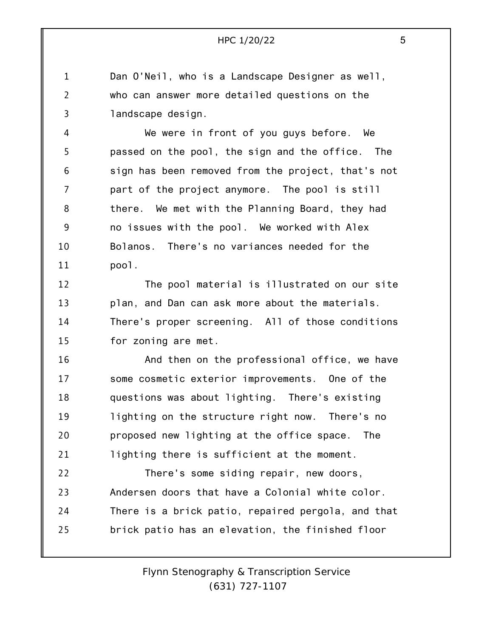1 2 3 Dan O'Neil, who is a Landscape Designer as well, who can answer more detailed questions on the landscape design.

4 5 6 7 8 9 10 11 We were in front of you guys before. We passed on the pool, the sign and the office. The sign has been removed from the project, that's not part of the project anymore. The pool is still there. We met with the Planning Board, they had no issues with the pool. We worked with Alex Bolanos. There's no variances needed for the pool.

12 13 14 15 The pool material is illustrated on our site plan, and Dan can ask more about the materials. There's proper screening. All of those conditions for zoning are met.

16 17 18 19 20 21 And then on the professional office, we have some cosmetic exterior improvements. One of the questions was about lighting. There's existing lighting on the structure right now. There's no proposed new lighting at the office space. The lighting there is sufficient at the moment.

22 23 24 25 There's some siding repair, new doors, Andersen doors that have a Colonial white color. There is a brick patio, repaired pergola, and that brick patio has an elevation, the finished floor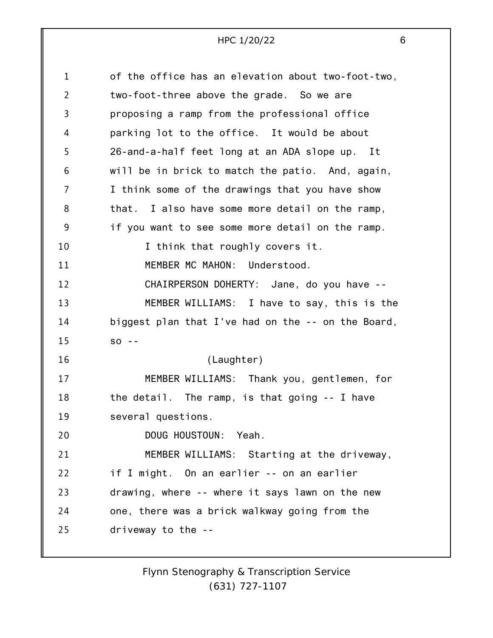| $\mathbf 1$    | of the office has an elevation about two-foot-two, |
|----------------|----------------------------------------------------|
| $\overline{2}$ | two-foot-three above the grade. So we are          |
| 3              | proposing a ramp from the professional office      |
| 4              | parking lot to the office. It would be about       |
| 5              | 26-and-a-half feet long at an ADA slope up. It     |
| 6              | will be in brick to match the patio. And, again,   |
| 7              | I think some of the drawings that you have show    |
| 8              | that. I also have some more detail on the ramp,    |
| 9              | if you want to see some more detail on the ramp.   |
| 10             | I think that roughly covers it.                    |
| 11             | MEMBER MC MAHON: Understood.                       |
| 12             | CHAIRPERSON DOHERTY: Jane, do you have --          |
| 13             | MEMBER WILLIAMS: I have to say, this is the        |
| 14             | biggest plan that I've had on the -- on the Board, |
| 15             | $SO - -$                                           |
| 16             | (Laughter)                                         |
| 17             | MEMBER WILLIAMS: Thank you, gentlemen, for         |
| 18             | the detail. The ramp, is that going -- I have      |
| 19             | several questions.                                 |
| 20             | DOUG HOUSTOUN: Yeah.                               |
| 21             | MEMBER WILLIAMS: Starting at the driveway,         |
| 22             | if I might. On an earlier -- on an earlier         |
| 23             | drawing, where -- where it says lawn on the new    |
| 24             | one, there was a brick walkway going from the      |
| 25             | driveway to the --                                 |
|                |                                                    |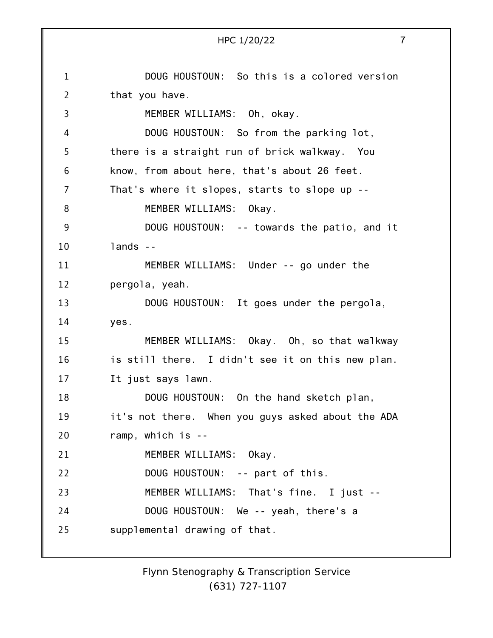1 2 3 4 5 6 7 8 9 10 11 12 13 14 15 16 17 18 19 20 21 22 23 24 25 HPC 1/20/22 7 DOUG HOUSTOUN: So this is a colored version that you have. MEMBER WILLIAMS: Oh, okay. DOUG HOUSTOUN: So from the parking lot, there is a straight run of brick walkway. You know, from about here, that's about 26 feet. That's where it slopes, starts to slope up -- MEMBER WILLIAMS: Okay. DOUG HOUSTOUN: -- towards the patio, and it lands -- MEMBER WILLIAMS: Under -- go under the pergola, yeah. DOUG HOUSTOUN: It goes under the pergola, yes. MEMBER WILLIAMS: Okay. Oh, so that walkway is still there. I didn't see it on this new plan. It just says lawn. DOUG HOUSTOUN: On the hand sketch plan, it's not there. When you guys asked about the ADA ramp, which is -- MEMBER WILLIAMS: Okay. DOUG HOUSTOUN: -- part of this. MEMBER WILLIAMS: That's fine. I just -- DOUG HOUSTOUN: We -- yeah, there's a supplemental drawing of that.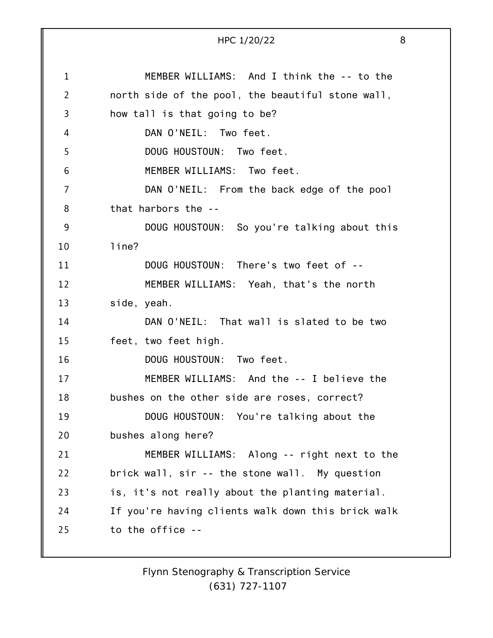1 2 3 4 5 6 7 8 9 10 11 12 13 14 15 16 17 18 19 20 21 22 23 24 25 HPC 1/20/22 8 MEMBER WILLIAMS: And I think the -- to the north side of the pool, the beautiful stone wall, how tall is that going to be? DAN O'NEIL: Two feet. DOUG HOUSTOUN: Two feet. MEMBER WILLIAMS: Two feet. DAN O'NEIL: From the back edge of the pool that harbors the -- DOUG HOUSTOUN: So you're talking about this line? DOUG HOUSTOUN: There's two feet of -- MEMBER WILLIAMS: Yeah, that's the north side, yeah. DAN O'NEIL: That wall is slated to be two feet, two feet high. DOUG HOUSTOUN: Two feet. MEMBER WILLIAMS: And the -- I believe the bushes on the other side are roses, correct? DOUG HOUSTOUN: You're talking about the bushes along here? MEMBER WILLIAMS: Along -- right next to the brick wall, sir -- the stone wall. My question is, it's not really about the planting material. If you're having clients walk down this brick walk to the office --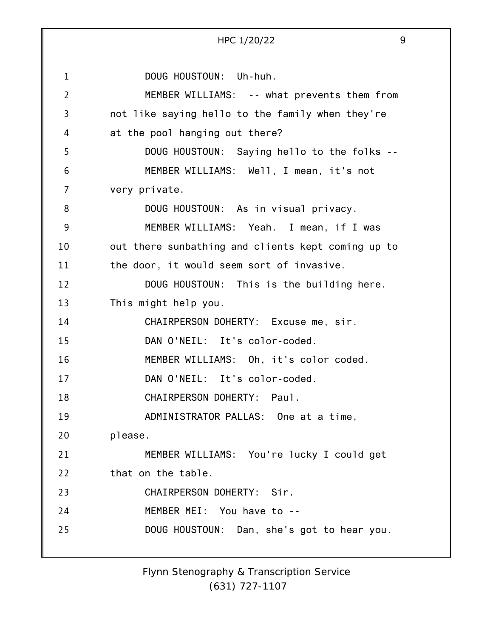1 2 3 4 5 6 7 8 9 10 11 12 13 14 15 16 17 18 19 20 21 22 23 24 25 HPC 1/20/22 9 DOUG HOUSTOUN: Uh-huh. MEMBER WILLIAMS: -- what prevents them from not like saying hello to the family when they're at the pool hanging out there? DOUG HOUSTOUN: Saying hello to the folks -- MEMBER WILLIAMS: Well, I mean, it's not very private. DOUG HOUSTOUN: As in visual privacy. MEMBER WILLIAMS: Yeah. I mean, if I was out there sunbathing and clients kept coming up to the door, it would seem sort of invasive. DOUG HOUSTOUN: This is the building here. This might help you. CHAIRPERSON DOHERTY: Excuse me, sir. DAN O'NEIL: It's color-coded. MEMBER WILLIAMS: Oh, it's color coded. DAN O'NEIL: It's color-coded. CHAIRPERSON DOHERTY: Paul. ADMINISTRATOR PALLAS: One at a time, please. MEMBER WILLIAMS: You're lucky I could get that on the table. CHAIRPERSON DOHERTY: Sir. MEMBER MEI: You have to -- DOUG HOUSTOUN: Dan, she's got to hear you.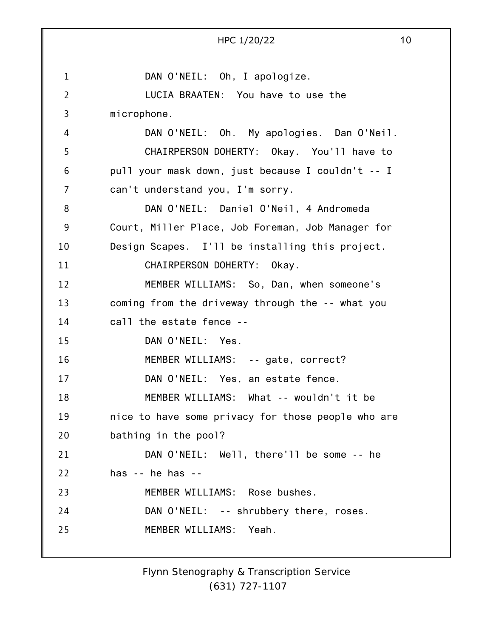|                | 10<br>HPC 1/20/22                                  |
|----------------|----------------------------------------------------|
|                |                                                    |
| $\mathbf{1}$   | DAN O'NEIL: Oh, I apologize.                       |
| $\overline{2}$ | LUCIA BRAATEN: You have to use the                 |
| 3              | microphone.                                        |
| 4              | DAN O'NEIL: Oh. My apologies. Dan O'Neil.          |
| 5              | CHAIRPERSON DOHERTY: Okay. You'll have to          |
| 6              | pull your mask down, just because I couldn't -- I  |
| 7              | can't understand you, I'm sorry.                   |
| 8              | DAN O'NEIL: Daniel O'Neil, 4 Andromeda             |
| 9              | Court, Miller Place, Job Foreman, Job Manager for  |
| 10             | Design Scapes. I'll be installing this project.    |
| 11             | CHAIRPERSON DOHERTY: Okay.                         |
| 12             | MEMBER WILLIAMS: So, Dan, when someone's           |
| 13             | coming from the driveway through the -- what you   |
| 14             | call the estate fence --                           |
| 15             | DAN O'NEIL: Yes.                                   |
| 16             | MEMBER WILLIAMS: -- gate, correct?                 |
| 17             | DAN O'NEIL: Yes, an estate fence.                  |
| 18             | MEMBER WILLIAMS: What -- wouldn't it be            |
| 19             | nice to have some privacy for those people who are |
| 20             | bathing in the pool?                               |
| 21             | DAN O'NEIL: Well, there'll be some -- he           |
| 22             | has $-$ he has $-$                                 |
| 23             | MEMBER WILLIAMS: Rose bushes.                      |
| 24             | DAN O'NEIL: -- shrubbery there, roses.             |
| 25             | MEMBER WILLIAMS: Yeah.                             |
|                |                                                    |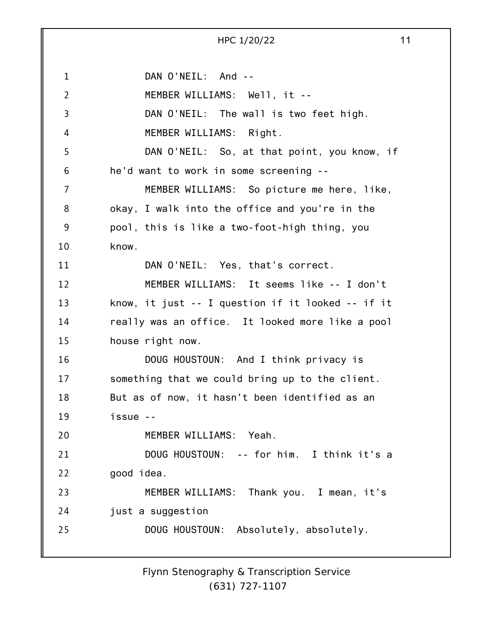1 2 3 4 5 6 7 8 9 10 11 12 13 14 15 16 17 18 19 20 21 22 23 24 25 DAN O'NEIL: And --MEMBER WILLIAMS: Well, it -- DAN O'NEIL: The wall is two feet high. MEMBER WILLIAMS: Right. DAN O'NEIL: So, at that point, you know, if he'd want to work in some screening -- MEMBER WILLIAMS: So picture me here, like, okay, I walk into the office and you're in the pool, this is like a two-foot-high thing, you know. DAN O'NEIL: Yes, that's correct. MEMBER WILLIAMS: It seems like -- I don't know, it just -- I question if it looked -- if it really was an office. It looked more like a pool house right now. DOUG HOUSTOUN: And I think privacy is something that we could bring up to the client. But as of now, it hasn't been identified as an issue -- MEMBER WILLIAMS: Yeah. DOUG HOUSTOUN: -- for him. I think it's a good idea. MEMBER WILLIAMS: Thank you. I mean, it's just a suggestion DOUG HOUSTOUN: Absolutely, absolutely.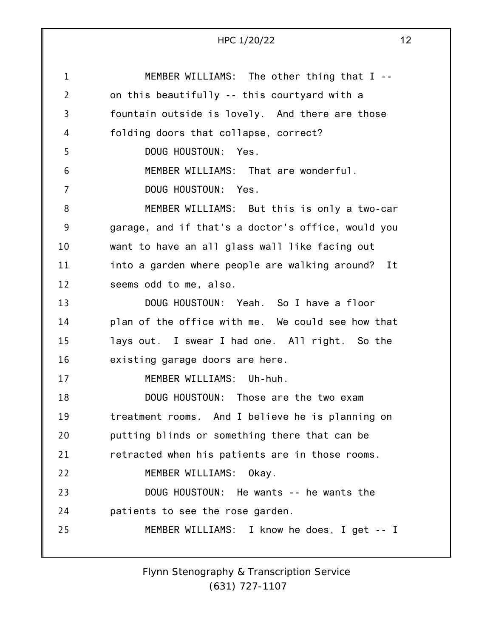|                 | HPC 1/20/22<br>12                                    |
|-----------------|------------------------------------------------------|
| $\mathbf{1}$    | MEMBER WILLIAMS: The other thing that I --           |
| $\overline{2}$  | on this beautifully -- this courtyard with a         |
| 3               | fountain outside is lovely. And there are those      |
| 4               | folding doors that collapse, correct?                |
| 5               | DOUG HOUSTOUN: Yes.                                  |
| $6\phantom{1}6$ | MEMBER WILLIAMS: That are wonderful.                 |
| $\overline{7}$  | DOUG HOUSTOUN: Yes.                                  |
| 8               | MEMBER WILLIAMS: But this is only a two-car          |
| 9               | garage, and if that's a doctor's office, would you   |
| 10              | want to have an all glass wall like facing out       |
| 11              | into a garden where people are walking around?<br>It |
| 12              | seems odd to me, also.                               |
| 13              | DOUG HOUSTOUN: Yeah. So I have a floor               |
| 14              | plan of the office with me. We could see how that    |
| 15              | lays out. I swear I had one. All right. So the       |
| 16              | existing garage doors are here.                      |
| 17              | MEMBER WILLIAMS: Uh-huh.                             |
| 18              | DOUG HOUSTOUN: Those are the two exam                |
| 19              | treatment rooms. And I believe he is planning on     |
| 20              | putting blinds or something there that can be        |
| 21              | retracted when his patients are in those rooms.      |
| 22              | MEMBER WILLIAMS:<br>Okay.                            |
| 23              | DOUG HOUSTOUN: He wants -- he wants the              |
| 24              | patients to see the rose garden.                     |
| 25              | MEMBER WILLIAMS: I know he does, I get -- I          |
|                 |                                                      |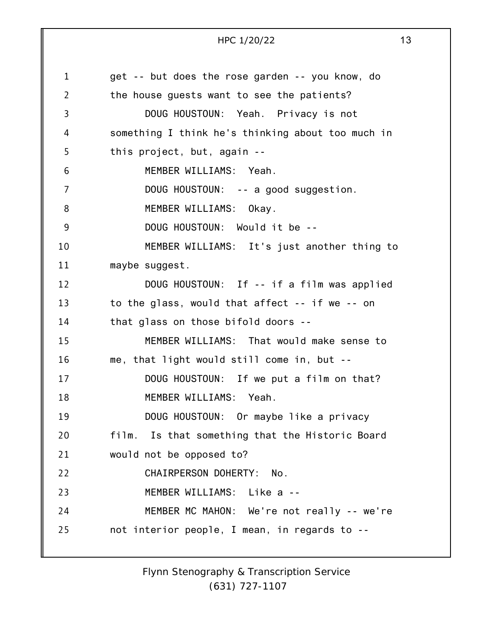1 2 3 4 5 6 7 8 9 10 11 12 13 14 15 16 17 18 19 20 21 22 23 24 25 get -- but does the rose garden -- you know, do the house guests want to see the patients? DOUG HOUSTOUN: Yeah. Privacy is not something I think he's thinking about too much in this project, but, again -- MEMBER WILLIAMS: Yeah. DOUG HOUSTOUN: -- a good suggestion. MEMBER WILLIAMS: Okay. DOUG HOUSTOUN: Would it be -- MEMBER WILLIAMS: It's just another thing to maybe suggest. DOUG HOUSTOUN: If -- if a film was applied to the glass, would that affect -- if we -- on that glass on those bifold doors -- MEMBER WILLIAMS: That would make sense to me, that light would still come in, but -- DOUG HOUSTOUN: If we put a film on that? MEMBER WILLIAMS: Yeah. DOUG HOUSTOUN: Or maybe like a privacy film. Is that something that the Historic Board would not be opposed to? CHAIRPERSON DOHERTY: No. MEMBER WILLIAMS: Like a -- MEMBER MC MAHON: We're not really -- we're not interior people, I mean, in regards to --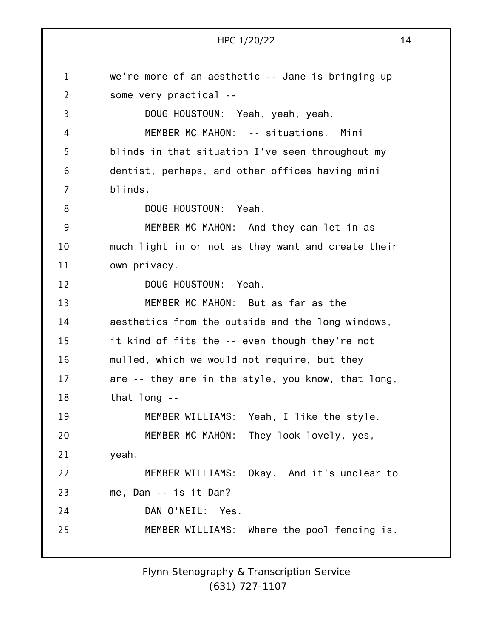1 2 3 4 5 6 7 8 9 10 11 12 13 14 15 16 17 18 19 20 21 22 23 24 25 HPC 1/20/22 14 we're more of an aesthetic -- Jane is bringing up some very practical -- DOUG HOUSTOUN: Yeah, yeah, yeah. MEMBER MC MAHON: -- situations. Mini blinds in that situation I've seen throughout my dentist, perhaps, and other offices having mini blinds. DOUG HOUSTOUN: Yeah. MEMBER MC MAHON: And they can let in as much light in or not as they want and create their own privacy. DOUG HOUSTOUN: Yeah. MEMBER MC MAHON: But as far as the aesthetics from the outside and the long windows, it kind of fits the -- even though they're not mulled, which we would not require, but they are -- they are in the style, you know, that long, that long -- MEMBER WILLIAMS: Yeah, I like the style. MEMBER MC MAHON: They look lovely, yes, yeah. MEMBER WILLIAMS: Okay. And it's unclear to me, Dan -- is it Dan? DAN O'NEIL: Yes. MEMBER WILLIAMS: Where the pool fencing is.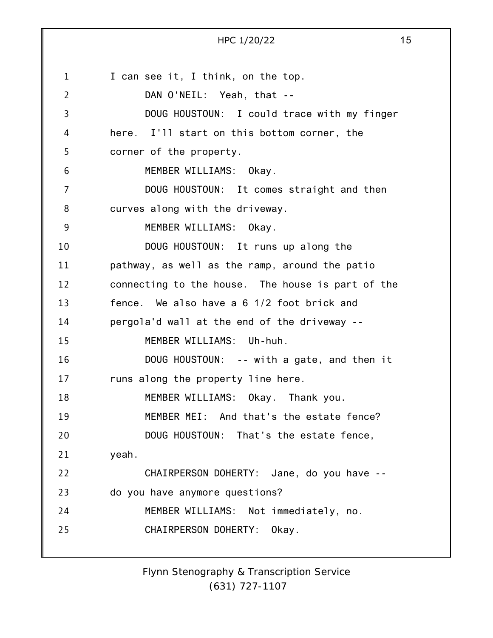1 2 3 4 5 6 7 8 9 10 11 12 13 14 15 16 17 18 19 20 21 22 23 24 25 I can see it, I think, on the top. DAN O'NEIL: Yeah, that -- DOUG HOUSTOUN: I could trace with my finger here. I'll start on this bottom corner, the corner of the property. MEMBER WILLIAMS: Okay. DOUG HOUSTOUN: It comes straight and then curves along with the driveway. MEMBER WILLIAMS: Okay. DOUG HOUSTOUN: It runs up along the pathway, as well as the ramp, around the patio connecting to the house. The house is part of the fence. We also have a 6 1/2 foot brick and pergola'd wall at the end of the driveway -- MEMBER WILLIAMS: Uh-huh. DOUG HOUSTOUN: -- with a gate, and then it runs along the property line here. MEMBER WILLIAMS: Okay. Thank you. MEMBER MEI: And that's the estate fence? DOUG HOUSTOUN: That's the estate fence, yeah. CHAIRPERSON DOHERTY: Jane, do you have - do you have anymore questions? MEMBER WILLIAMS: Not immediately, no. CHAIRPERSON DOHERTY: Okay.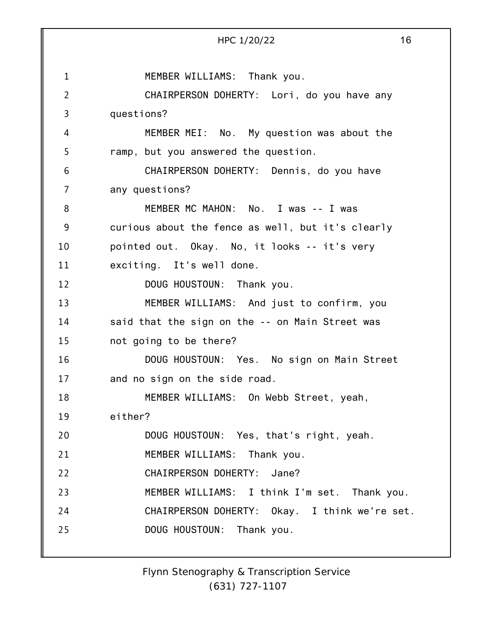1 2 3 4 5 6 7 8 9 10 11 12 13 14 15 16 17 18 19 20 21 22 23 24 25 HPC 1/20/22 16 MEMBER WILLIAMS: Thank you. CHAIRPERSON DOHERTY: Lori, do you have any questions? MEMBER MEI: No. My question was about the ramp, but you answered the question. CHAIRPERSON DOHERTY: Dennis, do you have any questions? MEMBER MC MAHON: No. I was -- I was curious about the fence as well, but it's clearly pointed out. Okay. No, it looks -- it's very exciting. It's well done. DOUG HOUSTOUN: Thank you. MEMBER WILLIAMS: And just to confirm, you said that the sign on the -- on Main Street was not going to be there? DOUG HOUSTOUN: Yes. No sign on Main Street and no sign on the side road. MEMBER WILLIAMS: On Webb Street, yeah, either? DOUG HOUSTOUN: Yes, that's right, yeah. MEMBER WILLIAMS: Thank you. CHAIRPERSON DOHERTY: Jane? MEMBER WILLIAMS: I think I'm set. Thank you. CHAIRPERSON DOHERTY: Okay. I think we're set. DOUG HOUSTOUN: Thank you.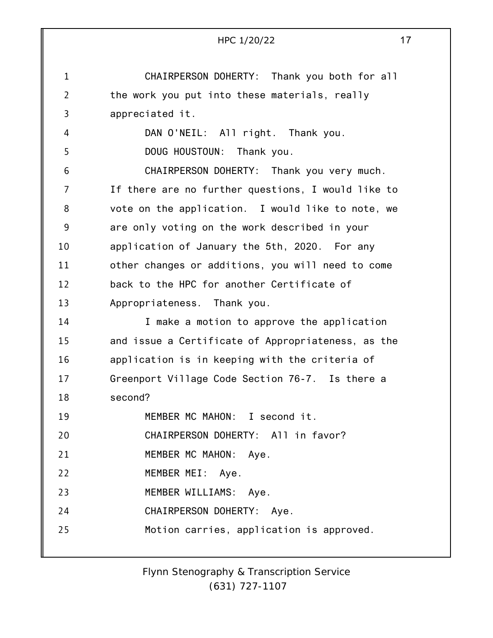|                | 17<br>HPC 1/20/22                                  |
|----------------|----------------------------------------------------|
|                |                                                    |
| $\mathbf{1}$   | CHAIRPERSON DOHERTY: Thank you both for all        |
| $\overline{2}$ | the work you put into these materials, really      |
| 3              | appreciated it.                                    |
| 4              | DAN O'NEIL: All right. Thank you.                  |
| 5              | DOUG HOUSTOUN:<br>Thank you.                       |
| 6              | CHAIRPERSON DOHERTY: Thank you very much.          |
| 7              | If there are no further questions, I would like to |
| 8              | vote on the application. I would like to note, we  |
| 9              | are only voting on the work described in your      |
| 10             | application of January the 5th, 2020. For any      |
| 11             | other changes or additions, you will need to come  |
| 12             | back to the HPC for another Certificate of         |
| 13             | Appropriateness. Thank you.                        |
| 14             | I make a motion to approve the application         |
| 15             | and issue a Certificate of Appropriateness, as the |
| 16             | application is in keeping with the criteria of     |
| 17             | Greenport Village Code Section 76-7. Is there a    |
| 18             | second?                                            |
| 19             | MEMBER MC MAHON: I second it.                      |
| 20             | CHAIRPERSON DOHERTY: All in favor?                 |
| 21             | MEMBER MC MAHON: Aye.                              |
| 22             | MEMBER MEI: Aye.                                   |
| 23             | MEMBER WILLIAMS: Aye.                              |
| 24             | CHAIRPERSON DOHERTY: Aye.                          |
| 25             | Motion carries, application is approved.           |
|                |                                                    |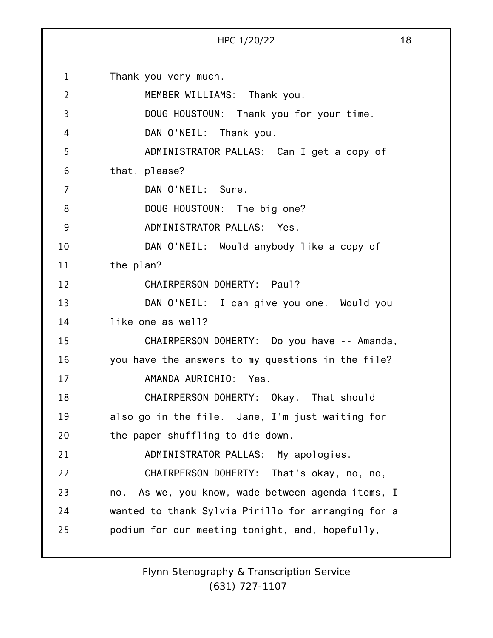1 2 3 4 5 6 7 8 9 10 11 12 13 14 15 16 17 18 19 20 21 22 23 24 25 Thank you very much. MEMBER WILLIAMS: Thank you. DOUG HOUSTOUN: Thank you for your time. DAN O'NEIL: Thank you. ADMINISTRATOR PALLAS: Can I get a copy of that, please? DAN O'NEIL: Sure. DOUG HOUSTOUN: The big one? ADMINISTRATOR PALLAS: Yes. DAN O'NEIL: Would anybody like a copy of the plan? CHAIRPERSON DOHERTY: Paul? DAN O'NEIL: I can give you one. Would you like one as well? CHAIRPERSON DOHERTY: Do you have -- Amanda, you have the answers to my questions in the file? AMANDA AURICHIO: Yes. CHAIRPERSON DOHERTY: Okay. That should also go in the file. Jane, I'm just waiting for the paper shuffling to die down. ADMINISTRATOR PALLAS: My apologies. CHAIRPERSON DOHERTY: That's okay, no, no, no. As we, you know, wade between agenda items, I wanted to thank Sylvia Pirillo for arranging for a podium for our meeting tonight, and, hopefully,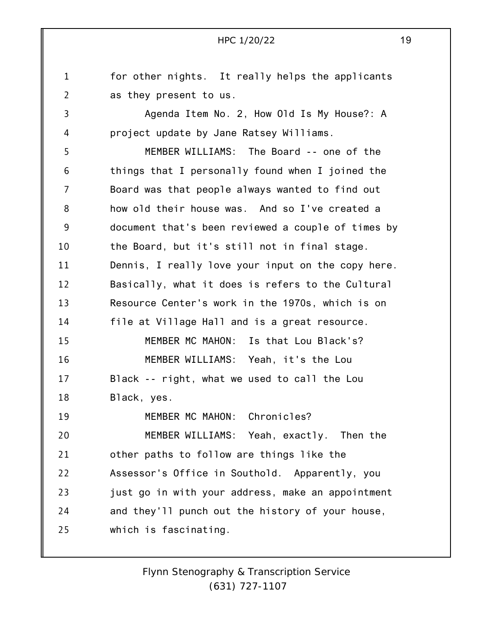1 2 3 4 5 6 7 8 9 10 11 12 13 14 15 16 17 18 19 20 21 22 23 24 25 for other nights. It really helps the applicants as they present to us. Agenda Item No. 2, How Old Is My House?: A project update by Jane Ratsey Williams. MEMBER WILLIAMS: The Board -- one of the things that I personally found when I joined the Board was that people always wanted to find out how old their house was. And so I've created a document that's been reviewed a couple of times by the Board, but it's still not in final stage. Dennis, I really love your input on the copy here. Basically, what it does is refers to the Cultural Resource Center's work in the 1970s, which is on file at Village Hall and is a great resource. MEMBER MC MAHON: Is that Lou Black's? MEMBER WILLIAMS: Yeah, it's the Lou Black -- right, what we used to call the Lou Black, yes. MEMBER MC MAHON: Chronicles? MEMBER WILLIAMS: Yeah, exactly. Then the other paths to follow are things like the Assessor's Office in Southold. Apparently, you just go in with your address, make an appointment and they'll punch out the history of your house, which is fascinating.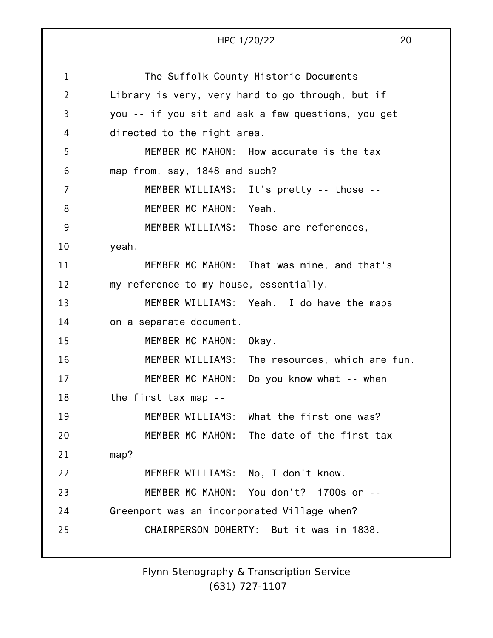|    | 20<br>HPC 1/20/22                                  |
|----|----------------------------------------------------|
|    |                                                    |
| 1  | The Suffolk County Historic Documents              |
| 2  | Library is very, very hard to go through, but if   |
| 3  | you -- if you sit and ask a few questions, you get |
| 4  | directed to the right area.                        |
| 5  | MEMBER MC MAHON: How accurate is the tax           |
| 6  | map from, say, 1848 and such?                      |
| 7  | MEMBER WILLIAMS: It's pretty -- those --           |
| 8  | MEMBER MC MAHON: Yeah.                             |
| 9  | MEMBER WILLIAMS: Those are references,             |
| 10 | yeah.                                              |
| 11 | MEMBER MC MAHON: That was mine, and that's         |
| 12 | my reference to my house, essentially.             |
| 13 | MEMBER WILLIAMS: Yeah. I do have the maps          |
| 14 | on a separate document.                            |
| 15 | MEMBER MC MAHON:<br>Okay.                          |
| 16 | MEMBER WILLIAMS: The resources, which are fun.     |
| 17 | MEMBER MC MAHON:<br>Do you know what -- when       |
| 18 | the first tax map --                               |
| 19 | MEMBER WILLIAMS: What the first one was?           |
| 20 | MEMBER MC MAHON:<br>The date of the first tax      |
| 21 | map?                                               |
| 22 | MEMBER WILLIAMS: No, I don't know.                 |
| 23 | MEMBER MC MAHON: You don't? 1700s or --            |
| 24 | Greenport was an incorporated Village when?        |
| 25 | CHAIRPERSON DOHERTY: But it was in 1838.           |
|    |                                                    |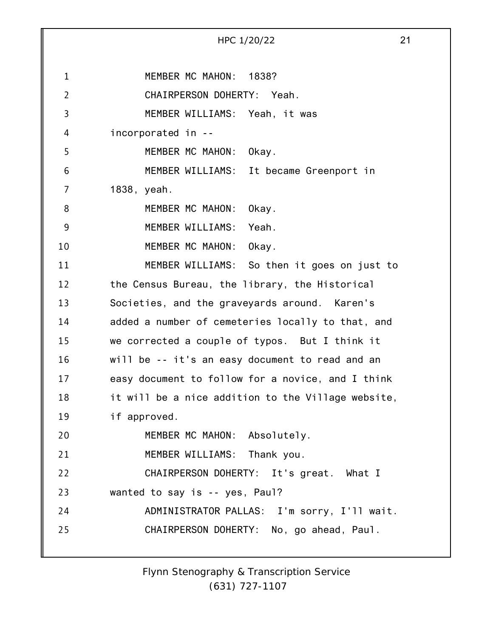|                | 21<br>HPC 1/20/22                                  |
|----------------|----------------------------------------------------|
|                |                                                    |
| $\mathbf{1}$   | MEMBER MC MAHON: 1838?                             |
| $\overline{2}$ | CHAIRPERSON DOHERTY: Yeah.                         |
| 3              | MEMBER WILLIAMS: Yeah, it was                      |
| 4              | incorporated in --                                 |
| 5              | MEMBER MC MAHON: Okay.                             |
| 6              | MEMBER WILLIAMS: It became Greenport in            |
| 7              | 1838, yeah.                                        |
| 8              | MEMBER MC MAHON:<br>Okay.                          |
| 9              | MEMBER WILLIAMS:<br>Yeah.                          |
| 10             | MEMBER MC MAHON:<br>Okay.                          |
| 11             | MEMBER WILLIAMS: So then it goes on just to        |
| 12             | the Census Bureau, the library, the Historical     |
| 13             | Societies, and the graveyards around. Karen's      |
| 14             | added a number of cemeteries locally to that, and  |
| 15             | we corrected a couple of typos. But I think it     |
| 16             | will be -- it's an easy document to read and an    |
| 17             | easy document to follow for a novice, and I think  |
| 18             | it will be a nice addition to the Village website, |
| 19             | if approved.                                       |
| 20             | MEMBER MC MAHON: Absolutely.                       |
| 21             | MEMBER WILLIAMS: Thank you.                        |
| 22             | CHAIRPERSON DOHERTY: It's great. What I            |
| 23             | wanted to say is -- yes, Paul?                     |
| 24             | ADMINISTRATOR PALLAS: I'm sorry, I'll wait.        |
| 25             | CHAIRPERSON DOHERTY: No, go ahead, Paul.           |
|                |                                                    |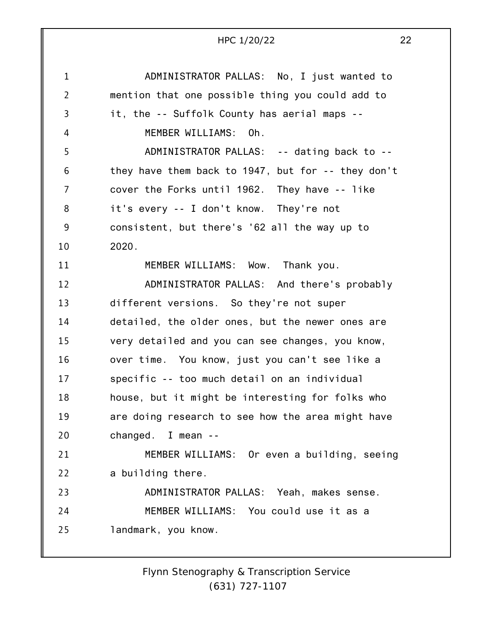|                | HPC 1/20/22                                        | 22 |
|----------------|----------------------------------------------------|----|
| $\mathbf 1$    | ADMINISTRATOR PALLAS: No, I just wanted to         |    |
| $\overline{2}$ | mention that one possible thing you could add to   |    |
| 3              | it, the -- Suffolk County has aerial maps --       |    |
| 4              | MEMBER WILLIAMS: Oh.                               |    |
| 5              | ADMINISTRATOR PALLAS: -- dating back to --         |    |
| 6              | they have them back to 1947, but for -- they don't |    |
| 7              | cover the Forks until 1962. They have -- like      |    |
| 8              | it's every -- I don't know. They're not            |    |
| 9              | consistent, but there's '62 all the way up to      |    |
| 10             | 2020.                                              |    |
| 11             | MEMBER WILLIAMS: Wow. Thank you.                   |    |
| 12             | ADMINISTRATOR PALLAS: And there's probably         |    |
| 13             | different versions. So they're not super           |    |
| 14             | detailed, the older ones, but the newer ones are   |    |
| 15             | very detailed and you can see changes, you know,   |    |
| 16             | over time. You know, just you can't see like a     |    |
| 17             | specific -- too much detail on an individual       |    |
| 18             | house, but it might be interesting for folks who   |    |
| 19             | are doing research to see how the area might have  |    |
| 20             | changed. I mean --                                 |    |
| 21             | MEMBER WILLIAMS: Or even a building, seeing        |    |
| 22             | a building there.                                  |    |
| 23             | ADMINISTRATOR PALLAS: Yeah, makes sense.           |    |
| 24             | MEMBER WILLIAMS: You could use it as a             |    |
| 25             | landmark, you know.                                |    |
|                |                                                    |    |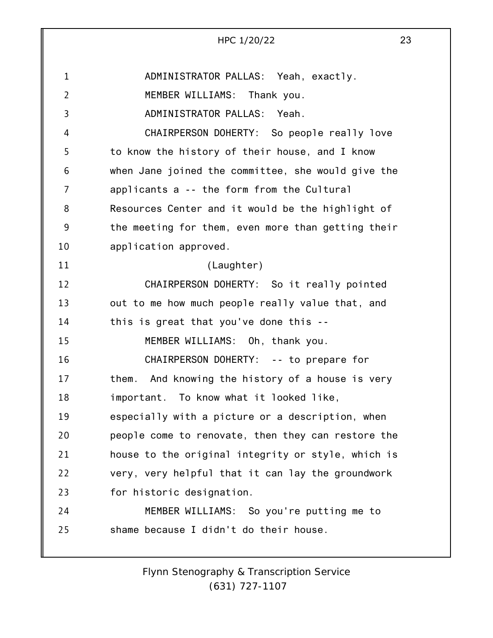|                | 23<br>HPC 1/20/22                                   |
|----------------|-----------------------------------------------------|
|                |                                                     |
| $\mathbf{1}$   | ADMINISTRATOR PALLAS: Yeah, exactly.                |
| $\overline{2}$ | MEMBER WILLIAMS: Thank you.                         |
| 3              | ADMINISTRATOR PALLAS:<br>Yeah.                      |
| 4              | CHAIRPERSON DOHERTY: So people really love          |
| 5              | to know the history of their house, and I know      |
| 6              | when Jane joined the committee, she would give the  |
| 7              | applicants a -- the form from the Cultural          |
| 8              | Resources Center and it would be the highlight of   |
| 9              | the meeting for them, even more than getting their  |
| 10             | application approved.                               |
| 11             | (Laughter)                                          |
| 12             | CHAIRPERSON DOHERTY: So it really pointed           |
| 13             | out to me how much people really value that, and    |
| 14             | this is great that you've done this --              |
| 15             | MEMBER WILLIAMS: Oh, thank you.                     |
| 16             | CHAIRPERSON DOHERTY: -- to prepare for              |
| 17             | And knowing the history of a house is very<br>them. |
| 18             | important. To know what it looked like,             |
| 19             | especially with a picture or a description, when    |
| 20             | people come to renovate, then they can restore the  |
| 21             | house to the original integrity or style, which is  |
| 22             | very, very helpful that it can lay the groundwork   |
| 23             | for historic designation.                           |
| 24             | MEMBER WILLIAMS: So you're putting me to            |
| 25             | shame because I didn't do their house.              |
|                |                                                     |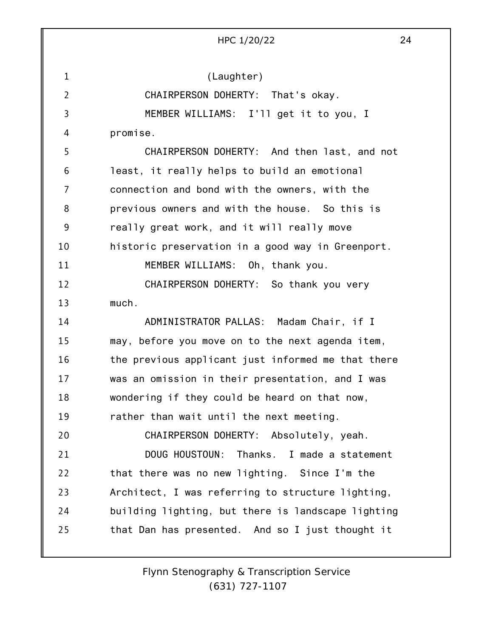HPC 1/20/22 24 (Laughter) CHAIRPERSON DOHERTY: That's okay. MEMBER WILLIAMS: I'll get it to you, I promise. CHAIRPERSON DOHERTY: And then last, and not least, it really helps to build an emotional connection and bond with the owners, with the previous owners and with the house. So this is really great work, and it will really move historic preservation in a good way in Greenport. MEMBER WILLIAMS: Oh, thank you. CHAIRPERSON DOHERTY: So thank you very much. ADMINISTRATOR PALLAS: Madam Chair, if I

1

2

3

4

5

6

7

8

9

10

11

12

13

14

15 16 17 18 19 20 21 22 23 24 25 may, before you move on to the next agenda item, the previous applicant just informed me that there was an omission in their presentation, and I was wondering if they could be heard on that now, rather than wait until the next meeting. CHAIRPERSON DOHERTY: Absolutely, yeah. DOUG HOUSTOUN: Thanks. I made a statement that there was no new lighting. Since I'm the Architect, I was referring to structure lighting, building lighting, but there is landscape lighting that Dan has presented. And so I just thought it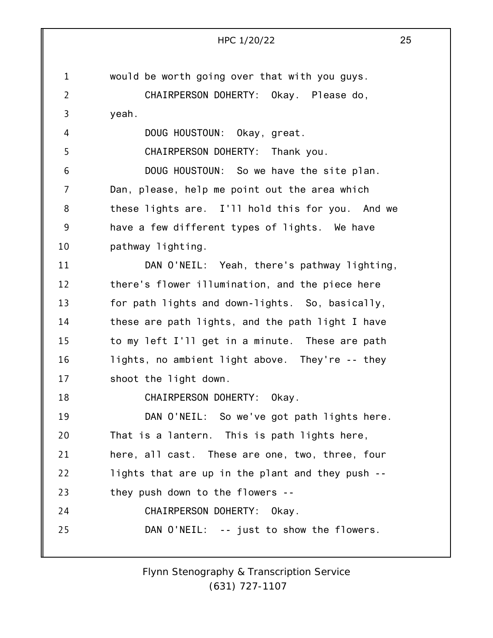|                | 25<br>HPC 1/20/22                                |  |
|----------------|--------------------------------------------------|--|
|                |                                                  |  |
| $\mathbf{1}$   | would be worth going over that with you guys.    |  |
| $\overline{2}$ | CHAIRPERSON DOHERTY: Okay. Please do,            |  |
| 3              | yeah.                                            |  |
| 4              | DOUG HOUSTOUN: Okay, great.                      |  |
| 5              | CHAIRPERSON DOHERTY: Thank you.                  |  |
| 6              | DOUG HOUSTOUN: So we have the site plan.         |  |
| $\overline{7}$ | Dan, please, help me point out the area which    |  |
| 8              | these lights are. I'll hold this for you. And we |  |
| 9              | have a few different types of lights. We have    |  |
| 10             | pathway lighting.                                |  |
| 11             | DAN O'NEIL: Yeah, there's pathway lighting,      |  |
| 12             | there's flower illumination, and the piece here  |  |
| 13             | for path lights and down-lights. So, basically,  |  |
| 14             | these are path lights, and the path light I have |  |
| 15             | to my left I'll get in a minute. These are path  |  |
| 16             | lights, no ambient light above. They're -- they  |  |
| 17             | shoot the light down.                            |  |
| 18             | CHAIRPERSON DOHERTY: Okay.                       |  |
| 19             | DAN O'NEIL: So we've got path lights here.       |  |
| 20             | That is a lantern. This is path lights here,     |  |
| 21             | here, all cast. These are one, two, three, four  |  |
| 22             | lights that are up in the plant and they push -- |  |
| 23             | they push down to the flowers --                 |  |
| 24             | CHAIRPERSON DOHERTY: Okay.                       |  |
| 25             | DAN O'NEIL: -- just to show the flowers.         |  |
|                |                                                  |  |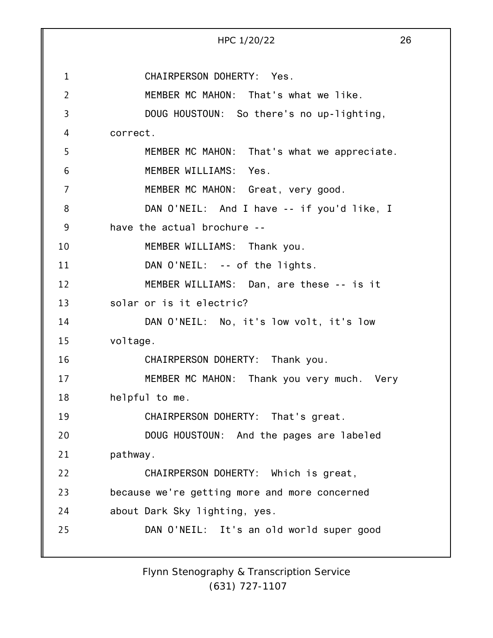1 2 3 4 5 6 7 8 9 10 11 12 13 14 15 16 17 18 19 20 21 22 23 24 25 HPC 1/20/22 26 CHAIRPERSON DOHERTY: Yes. MEMBER MC MAHON: That's what we like. DOUG HOUSTOUN: So there's no up-lighting, correct. MEMBER MC MAHON: That's what we appreciate. MEMBER WILLIAMS: Yes. MEMBER MC MAHON: Great, very good. DAN O'NEIL: And I have -- if you'd like, I have the actual brochure -- MEMBER WILLIAMS: Thank you. DAN O'NEIL: -- of the lights. MEMBER WILLIAMS: Dan, are these -- is it solar or is it electric? DAN O'NEIL: No, it's low volt, it's low voltage. CHAIRPERSON DOHERTY: Thank you. MEMBER MC MAHON: Thank you very much. Very helpful to me. CHAIRPERSON DOHERTY: That's great. DOUG HOUSTOUN: And the pages are labeled pathway. CHAIRPERSON DOHERTY: Which is great, because we're getting more and more concerned about Dark Sky lighting, yes. DAN O'NEIL: It's an old world super good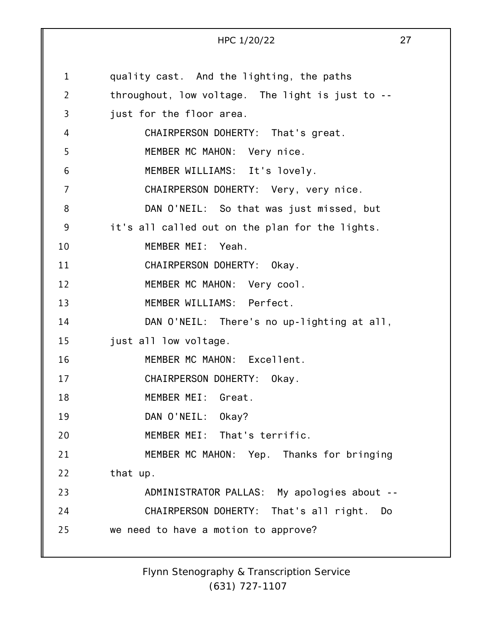1 2 3 4 5 6 7 8 9 10 11 12 13 14 15 16 17 18 19 20 21 22 23 24 25 HPC 1/20/22 27 quality cast. And the lighting, the paths throughout, low voltage. The light is just to - just for the floor area. CHAIRPERSON DOHERTY: That's great. MEMBER MC MAHON: Very nice. MEMBER WILLIAMS: It's lovely. CHAIRPERSON DOHERTY: Very, very nice. DAN O'NEIL: So that was just missed, but it's all called out on the plan for the lights. MEMBER MEI: Yeah. CHAIRPERSON DOHERTY: Okay. MEMBER MC MAHON: Very cool. MEMBER WILLIAMS: Perfect. DAN O'NEIL: There's no up-lighting at all, just all low voltage. MEMBER MC MAHON: Excellent. CHAIRPERSON DOHERTY: Okay. MEMBER MEI: Great. DAN O'NEIL: Okay? MEMBER MEI: That's terrific. MEMBER MC MAHON: Yep. Thanks for bringing that up. ADMINISTRATOR PALLAS: My apologies about -- CHAIRPERSON DOHERTY: That's all right. Do we need to have a motion to approve?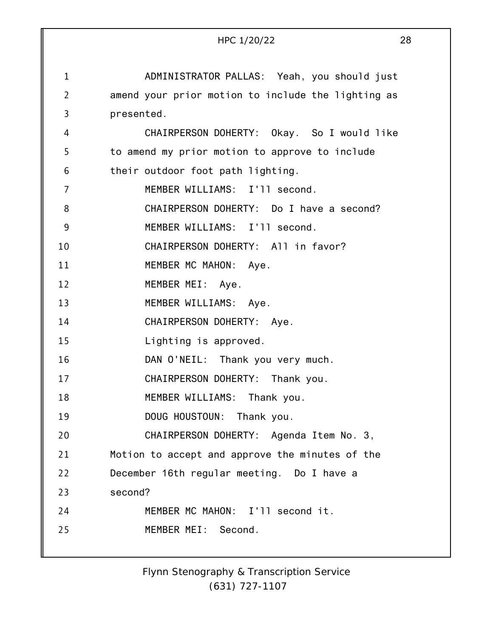|                | 28<br>HPC 1/20/22                                  |
|----------------|----------------------------------------------------|
|                |                                                    |
| $\mathbf{1}$   | ADMINISTRATOR PALLAS: Yeah, you should just        |
| $\overline{2}$ | amend your prior motion to include the lighting as |
| 3              | presented.                                         |
| 4              | CHAIRPERSON DOHERTY: Okay. So I would like         |
| 5              | to amend my prior motion to approve to include     |
| 6              | their outdoor foot path lighting.                  |
| 7              | MEMBER WILLIAMS: I'll second.                      |
| 8              | CHAIRPERSON DOHERTY: Do I have a second?           |
| 9              | MEMBER WILLIAMS: I'll second.                      |
| 10             | CHAIRPERSON DOHERTY: All in favor?                 |
| 11             | MEMBER MC MAHON: Aye.                              |
| 12             | MEMBER MEI: Aye.                                   |
| 13             | MEMBER WILLIAMS: Aye.                              |
| 14             | CHAIRPERSON DOHERTY: Aye.                          |
| 15             | Lighting is approved.                              |
| 16             | DAN O'NEIL: Thank you very much.                   |
| 17             | CHAIRPERSON DOHERTY: Thank you.                    |
| 18             | MEMBER WILLIAMS: Thank you.                        |
| 19             | DOUG HOUSTOUN: Thank you.                          |
| 20             | CHAIRPERSON DOHERTY: Agenda Item No. 3,            |
| 21             | Motion to accept and approve the minutes of the    |
| 22             | December 16th regular meeting. Do I have a         |
| 23             | second?                                            |
| 24             | MEMBER MC MAHON: I'll second it.                   |
| 25             | MEMBER MEI: Second.                                |
|                |                                                    |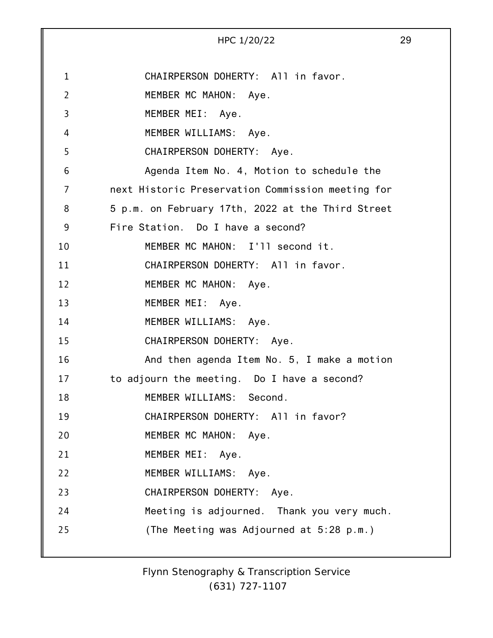|                | HPC 1/20/22                                       | 29 |
|----------------|---------------------------------------------------|----|
| 1              | CHAIRPERSON DOHERTY: All in favor.                |    |
| $\overline{2}$ | MEMBER MC MAHON: Aye.                             |    |
| 3              | MEMBER MEI: Aye.                                  |    |
| 4              | MEMBER WILLIAMS: Aye.                             |    |
| 5              | CHAIRPERSON DOHERTY: Aye.                         |    |
| 6              | Agenda Item No. 4, Motion to schedule the         |    |
| $\overline{7}$ | next Historic Preservation Commission meeting for |    |
| 8              | 5 p.m. on February 17th, 2022 at the Third Street |    |
| 9              | Fire Station. Do I have a second?                 |    |
| 10             | MEMBER MC MAHON: I'll second it.                  |    |
| 11             | CHAIRPERSON DOHERTY: All in favor.                |    |
| 12             | MEMBER MC MAHON: Aye.                             |    |
| 13             | MEMBER MEI: Aye.                                  |    |
| 14             | MEMBER WILLIAMS: Aye.                             |    |
| 15             | CHAIRPERSON DOHERTY: Aye.                         |    |
| 16             | And then agenda Item No. 5, I make a motion       |    |
| 17             | to adjourn the meeting. Do I have a second?       |    |
| 18             | MEMBER WILLIAMS: Second.                          |    |
| 19             | CHAIRPERSON DOHERTY: All in favor?                |    |
| 20             | MEMBER MC MAHON: Aye.                             |    |
| 21             | MEMBER MEI: Aye.                                  |    |
| 22             | MEMBER WILLIAMS: Aye.                             |    |
| 23             | CHAIRPERSON DOHERTY: Aye.                         |    |
| 24             | Meeting is adjourned. Thank you very much.        |    |
| 25             | (The Meeting was Adjourned at 5:28 p.m.)          |    |
|                |                                                   |    |